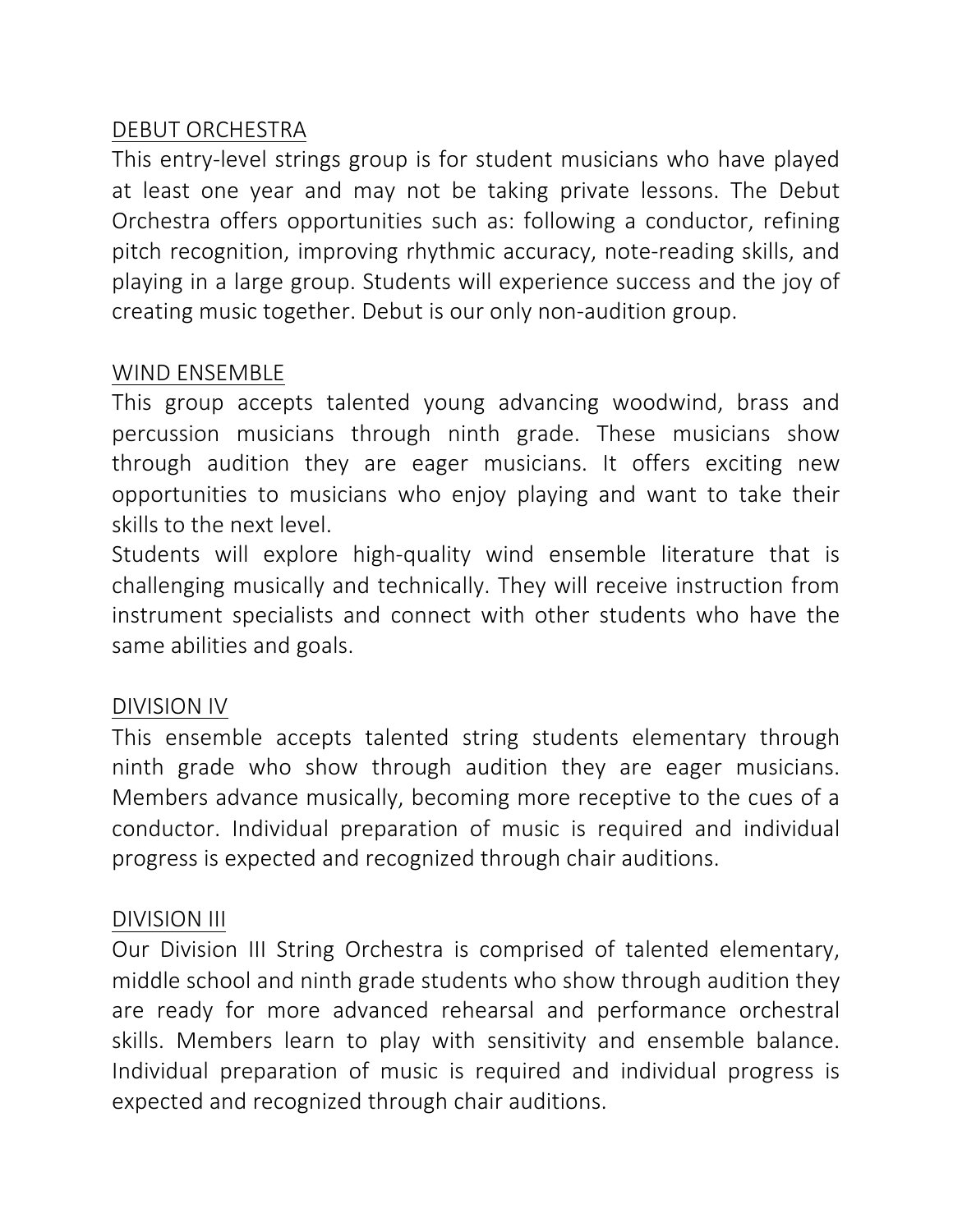### DEBUT ORCHESTRA

This entry-level strings group is for student musicians who have played at least one year and may not be taking private lessons. The Debut Orchestra offers opportunities such as: following a conductor, refining pitch recognition, improving rhythmic accuracy, note-reading skills, and playing in a large group. Students will experience success and the joy of creating music together. Debut is our only non-audition group.

### WIND ENSEMBLE

This group accepts talented young advancing woodwind, brass and percussion musicians through ninth grade. These musicians show through audition they are eager musicians. It offers exciting new opportunities to musicians who enjoy playing and want to take their skills to the next level.

Students will explore high-quality wind ensemble literature that is challenging musically and technically. They will receive instruction from instrument specialists and connect with other students who have the same abilities and goals.

#### DIVISION IV

This ensemble accepts talented string students elementary through ninth grade who show through audition they are eager musicians. Members advance musically, becoming more receptive to the cues of a conductor. Individual preparation of music is required and individual progress is expected and recognized through chair auditions.

#### DIVISION III

Our Division III String Orchestra is comprised of talented elementary, middle school and ninth grade students who show through audition they are ready for more advanced rehearsal and performance orchestral skills. Members learn to play with sensitivity and ensemble balance. Individual preparation of music is required and individual progress is expected and recognized through chair auditions.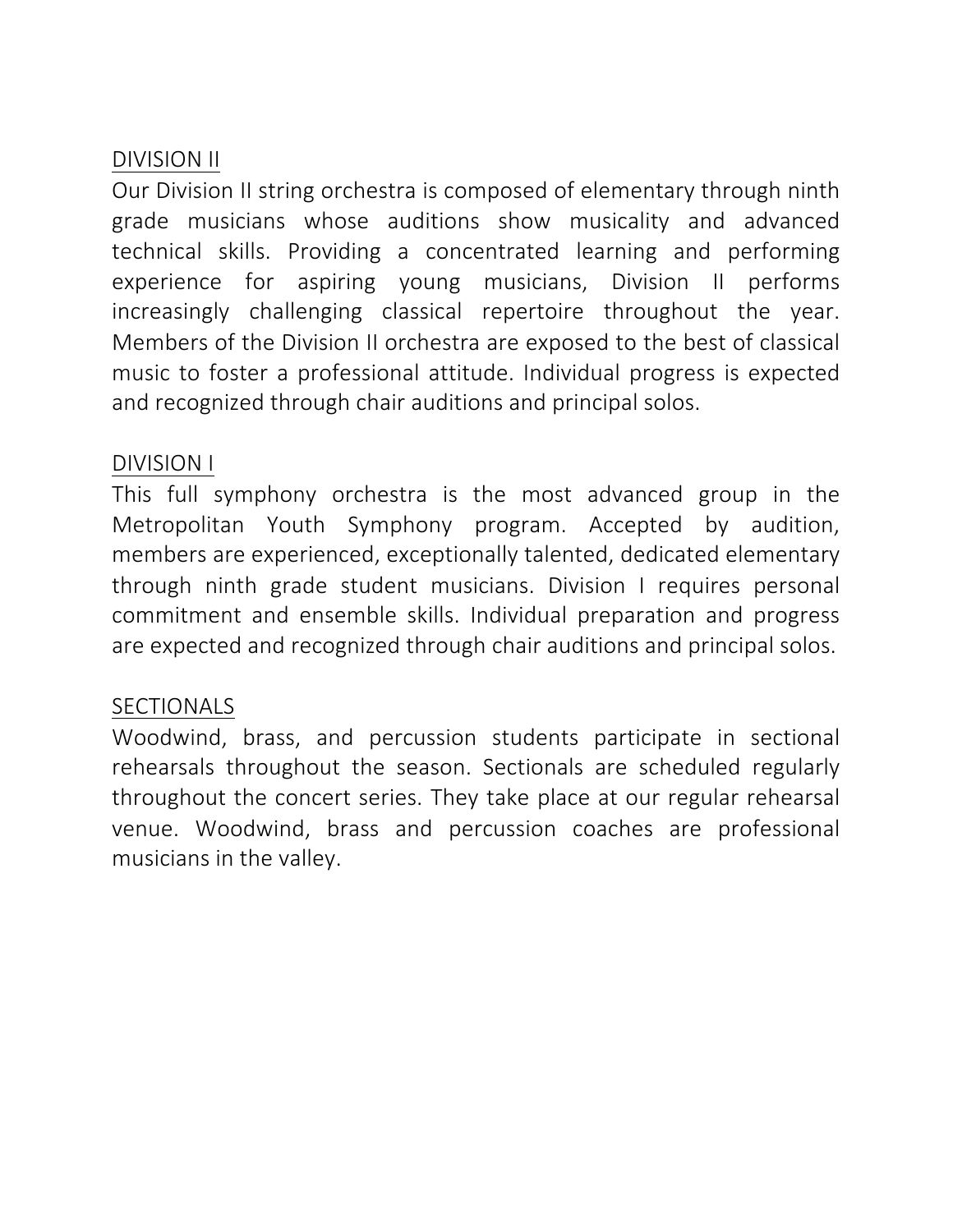### DIVISION II

Our Division II string orchestra is composed of elementary through ninth grade musicians whose auditions show musicality and advanced technical skills. Providing a concentrated learning and performing experience for aspiring young musicians, Division II performs increasingly challenging classical repertoire throughout the year. Members of the Division II orchestra are exposed to the best of classical music to foster a professional attitude. Individual progress is expected and recognized through chair auditions and principal solos.

### DIVISION I

This full symphony orchestra is the most advanced group in the Metropolitan Youth Symphony program. Accepted by audition, members are experienced, exceptionally talented, dedicated elementary through ninth grade student musicians. Division I requires personal commitment and ensemble skills. Individual preparation and progress are expected and recognized through chair auditions and principal solos.

### **SECTIONALS**

Woodwind, brass, and percussion students participate in sectional rehearsals throughout the season. Sectionals are scheduled regularly throughout the concert series. They take place at our regular rehearsal venue. Woodwind, brass and percussion coaches are professional musicians in the valley.